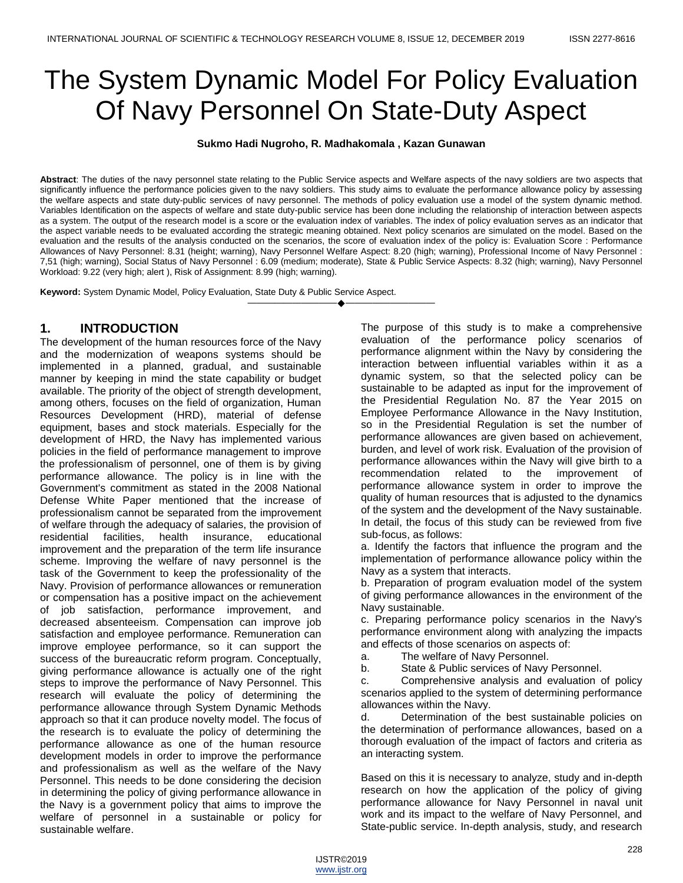# The System Dynamic Model For Policy Evaluation Of Navy Personnel On State-Duty Aspect

**Sukmo Hadi Nugroho, R. Madhakomala , Kazan Gunawan** 

**Abstract**: The duties of the navy personnel state relating to the Public Service aspects and Welfare aspects of the navy soldiers are two aspects that significantly influence the performance policies given to the navy soldiers. This study aims to evaluate the performance allowance policy by assessing the welfare aspects and state duty-public services of navy personnel. The methods of policy evaluation use a model of the system dynamic method. Variables Identification on the aspects of welfare and state duty-public service has been done including the relationship of interaction between aspects as a system. The output of the research model is a score or the evaluation index of variables. The index of policy evaluation serves as an indicator that the aspect variable needs to be evaluated according the strategic meaning obtained. Next policy scenarios are simulated on the model. Based on the evaluation and the results of the analysis conducted on the scenarios, the score of evaluation index of the policy is: Evaluation Score : Performance Allowances of Navy Personnel: 8.31 (height; warning), Navy Personnel Welfare Aspect: 8.20 (high; warning), Professional Income of Navy Personnel : 7,51 (high; warning), Social Status of Navy Personnel : 6.09 (medium; moderate), State & Public Service Aspects: 8.32 (high; warning), Navy Personnel Workload: 9.22 (very high; alert ), Risk of Assignment: 8.99 (high; warning).

————————————————————

**Keyword:** System Dynamic Model, Policy Evaluation, State Duty & Public Service Aspect.

## **1. INTRODUCTION**

The development of the human resources force of the Navy and the modernization of weapons systems should be implemented in a planned, gradual, and sustainable manner by keeping in mind the state capability or budget available. The priority of the object of strength development, among others, focuses on the field of organization, Human Resources Development (HRD), material of defense equipment, bases and stock materials. Especially for the development of HRD, the Navy has implemented various policies in the field of performance management to improve the professionalism of personnel, one of them is by giving performance allowance. The policy is in line with the Government's commitment as stated in the 2008 National Defense White Paper mentioned that the increase of professionalism cannot be separated from the improvement of welfare through the adequacy of salaries, the provision of residential facilities, health insurance, educational improvement and the preparation of the term life insurance scheme. Improving the welfare of navy personnel is the task of the Government to keep the professionality of the Navy. Provision of performance allowances or remuneration or compensation has a positive impact on the achievement of job satisfaction, performance improvement, and decreased absenteeism. Compensation can improve job satisfaction and employee performance. Remuneration can improve employee performance, so it can support the success of the bureaucratic reform program. Conceptually, giving performance allowance is actually one of the right steps to improve the performance of Navy Personnel. This research will evaluate the policy of determining the performance allowance through System Dynamic Methods approach so that it can produce novelty model. The focus of the research is to evaluate the policy of determining the performance allowance as one of the human resource development models in order to improve the performance and professionalism as well as the welfare of the Navy Personnel. This needs to be done considering the decision in determining the policy of giving performance allowance in the Navy is a government policy that aims to improve the welfare of personnel in a sustainable or policy for sustainable welfare.

The purpose of this study is to make a comprehensive evaluation of the performance policy scenarios of performance alignment within the Navy by considering the interaction between influential variables within it as a dynamic system, so that the selected policy can be sustainable to be adapted as input for the improvement of the Presidential Regulation No. 87 the Year 2015 on Employee Performance Allowance in the Navy Institution, so in the Presidential Regulation is set the number of performance allowances are given based on achievement, burden, and level of work risk. Evaluation of the provision of performance allowances within the Navy will give birth to a recommendation related to the improvement of performance allowance system in order to improve the quality of human resources that is adjusted to the dynamics of the system and the development of the Navy sustainable. In detail, the focus of this study can be reviewed from five sub-focus, as follows:

a. Identify the factors that influence the program and the implementation of performance allowance policy within the Navy as a system that interacts.

b. Preparation of program evaluation model of the system of giving performance allowances in the environment of the Navy sustainable.

c. Preparing performance policy scenarios in the Navy's performance environment along with analyzing the impacts and effects of those scenarios on aspects of:

a. The welfare of Navy Personnel.

b. State & Public services of Navy Personnel.

c. Comprehensive analysis and evaluation of policy scenarios applied to the system of determining performance allowances within the Navy.

d. Determination of the best sustainable policies on the determination of performance allowances, based on a thorough evaluation of the impact of factors and criteria as an interacting system.

Based on this it is necessary to analyze, study and in-depth research on how the application of the policy of giving performance allowance for Navy Personnel in naval unit work and its impact to the welfare of Navy Personnel, and State-public service. In-depth analysis, study, and research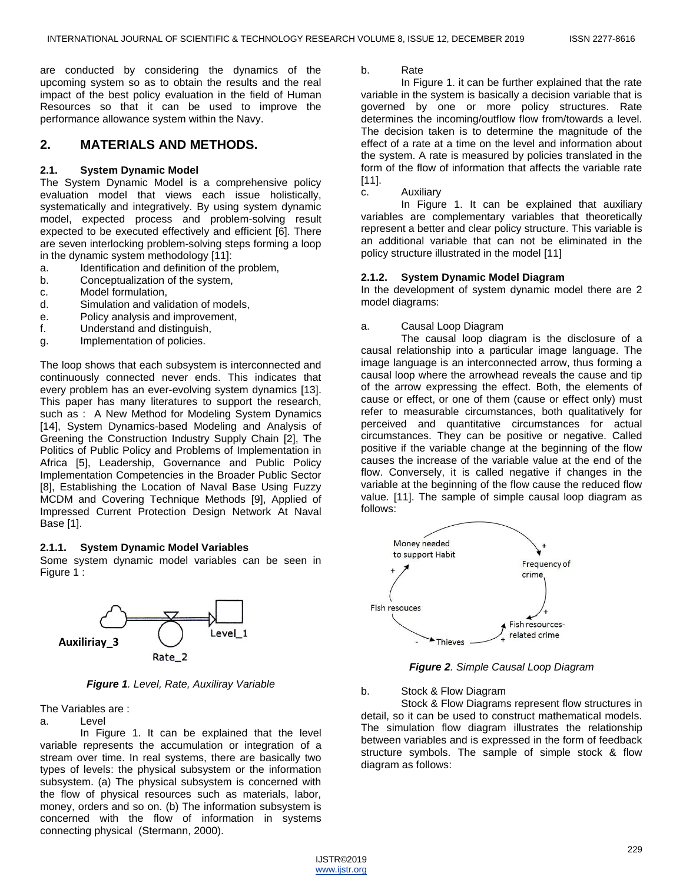are conducted by considering the dynamics of the upcoming system so as to obtain the results and the real impact of the best policy evaluation in the field of Human Resources so that it can be used to improve the performance allowance system within the Navy.

## **2. MATERIALS AND METHODS.**

#### **2.1. System Dynamic Model**

The System Dynamic Model is a comprehensive policy evaluation model that views each issue holistically, systematically and integratively. By using system dynamic model, expected process and problem-solving result expected to be executed effectively and efficient [6]. There are seven interlocking problem-solving steps forming a loop in the dynamic system methodology [11]:

- a. Identification and definition of the problem,
- b. Conceptualization of the system,
- c. Model formulation,
- d. Simulation and validation of models,
- e. Policy analysis and improvement,
- f. Understand and distinguish,
- g. Implementation of policies.

The loop shows that each subsystem is interconnected and continuously connected never ends. This indicates that every problem has an ever-evolving system dynamics [13]. This paper has many literatures to support the research, such as : A New Method for Modeling System Dynamics [14], System Dynamics-based Modeling and Analysis of Greening the Construction Industry Supply Chain [2], The Politics of Public Policy and Problems of Implementation in Africa [5], Leadership, Governance and Public Policy Implementation Competencies in the Broader Public Sector [8], Establishing the Location of Naval Base Using Fuzzy MCDM and Covering Technique Methods [9], Applied of Impressed Current Protection Design Network At Naval Base [1].

#### **2.1.1. System Dynamic Model Variables**

Some system dynamic model variables can be seen in Figure 1 :



*Figure 1. Level, Rate, Auxiliray Variable*

The Variables are :

a. Level

In Figure 1. It can be explained that the level variable represents the accumulation or integration of a stream over time. In real systems, there are basically two types of levels: the physical subsystem or the information subsystem. (a) The physical subsystem is concerned with the flow of physical resources such as materials, labor, money, orders and so on. (b) The information subsystem is concerned with the flow of information in systems connecting physical (Stermann, 2000).

b. Rate

In Figure 1. it can be further explained that the rate variable in the system is basically a decision variable that is governed by one or more policy structures. Rate determines the incoming/outflow flow from/towards a level. The decision taken is to determine the magnitude of the effect of a rate at a time on the level and information about the system. A rate is measured by policies translated in the form of the flow of information that affects the variable rate [11].

c. Auxiliary

In Figure 1. It can be explained that auxiliary variables are complementary variables that theoretically represent a better and clear policy structure. This variable is an additional variable that can not be eliminated in the policy structure illustrated in the model [11]

### **2.1.2. System Dynamic Model Diagram**

In the development of system dynamic model there are 2 model diagrams:

a. Causal Loop Diagram

The causal loop diagram is the disclosure of a causal relationship into a particular image language. The image language is an interconnected arrow, thus forming a causal loop where the arrowhead reveals the cause and tip of the arrow expressing the effect. Both, the elements of cause or effect, or one of them (cause or effect only) must refer to measurable circumstances, both qualitatively for perceived and quantitative circumstances for actual circumstances. They can be positive or negative. Called positive if the variable change at the beginning of the flow causes the increase of the variable value at the end of the flow. Conversely, it is called negative if changes in the variable at the beginning of the flow cause the reduced flow value. [11]. The sample of simple causal loop diagram as follows:



*Figure 2. Simple Causal Loop Diagram*

b. Stock & Flow Diagram

Stock & Flow Diagrams represent flow structures in detail, so it can be used to construct mathematical models. The simulation flow diagram illustrates the relationship between variables and is expressed in the form of feedback structure symbols. The sample of simple stock & flow diagram as follows: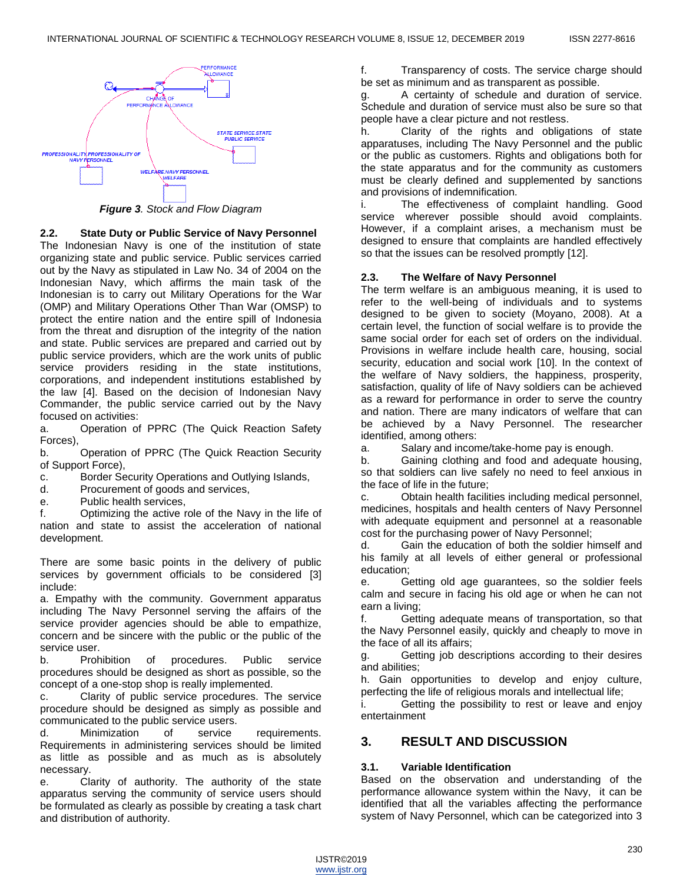

*Figure 3. Stock and Flow Diagram* 

### **2.2. State Duty or Public Service of Navy Personnel**

The Indonesian Navy is one of the institution of state organizing state and public service. Public services carried out by the Navy as stipulated in Law No. 34 of 2004 on the Indonesian Navy, which affirms the main task of the Indonesian is to carry out Military Operations for the War (OMP) and Military Operations Other Than War (OMSP) to protect the entire nation and the entire spill of Indonesia from the threat and disruption of the integrity of the nation and state. Public services are prepared and carried out by public service providers, which are the work units of public service providers residing in the state institutions, corporations, and independent institutions established by the law [4]. Based on the decision of Indonesian Navy Commander, the public service carried out by the Navy focused on activities:

a. Operation of PPRC (The Quick Reaction Safety Forces),

b. Operation of PPRC (The Quick Reaction Security of Support Force),

- c. Border Security Operations and Outlying Islands,
- d. Procurement of goods and services,
- e. Public health services,

f. Optimizing the active role of the Navy in the life of nation and state to assist the acceleration of national development.

There are some basic points in the delivery of public services by government officials to be considered [3] include:

a. Empathy with the community. Government apparatus including The Navy Personnel serving the affairs of the service provider agencies should be able to empathize, concern and be sincere with the public or the public of the service user.

b. Prohibition of procedures. Public service procedures should be designed as short as possible, so the concept of a one-stop shop is really implemented.

c. Clarity of public service procedures. The service procedure should be designed as simply as possible and communicated to the public service users.

d. Minimization of service requirements. Requirements in administering services should be limited as little as possible and as much as is absolutely necessary.

e. Clarity of authority. The authority of the state apparatus serving the community of service users should be formulated as clearly as possible by creating a task chart and distribution of authority.

f. Transparency of costs. The service charge should be set as minimum and as transparent as possible.

A certainty of schedule and duration of service. Schedule and duration of service must also be sure so that people have a clear picture and not restless.

h. Clarity of the rights and obligations of state apparatuses, including The Navy Personnel and the public or the public as customers. Rights and obligations both for the state apparatus and for the community as customers must be clearly defined and supplemented by sanctions and provisions of indemnification.

i. The effectiveness of complaint handling. Good service wherever possible should avoid complaints. However, if a complaint arises, a mechanism must be designed to ensure that complaints are handled effectively so that the issues can be resolved promptly [12].

## **2.3. The Welfare of Navy Personnel**

The term welfare is an ambiguous meaning, it is used to refer to the well-being of individuals and to systems designed to be given to society (Moyano, 2008). At a certain level, the function of social welfare is to provide the same social order for each set of orders on the individual. Provisions in welfare include health care, housing, social security, education and social work [10]. In the context of the welfare of Navy soldiers, the happiness, prosperity, satisfaction, quality of life of Navy soldiers can be achieved as a reward for performance in order to serve the country and nation. There are many indicators of welfare that can be achieved by a Navy Personnel. The researcher identified, among others:

a. Salary and income/take-home pay is enough.

b. Gaining clothing and food and adequate housing, so that soldiers can live safely no need to feel anxious in the face of life in the future;

c. Obtain health facilities including medical personnel, medicines, hospitals and health centers of Navy Personnel with adequate equipment and personnel at a reasonable cost for the purchasing power of Navy Personnel;

d. Gain the education of both the soldier himself and his family at all levels of either general or professional education;

e. Getting old age guarantees, so the soldier feels calm and secure in facing his old age or when he can not earn a living;

f. Getting adequate means of transportation, so that the Navy Personnel easily, quickly and cheaply to move in the face of all its affairs;

g. Getting job descriptions according to their desires and abilities;

h. Gain opportunities to develop and enjoy culture, perfecting the life of religious morals and intellectual life;

i. Getting the possibility to rest or leave and enjoy entertainment

## **3. RESULT AND DISCUSSION**

## **3.1. Variable Identification**

Based on the observation and understanding of the performance allowance system within the Navy, it can be identified that all the variables affecting the performance system of Navy Personnel, which can be categorized into 3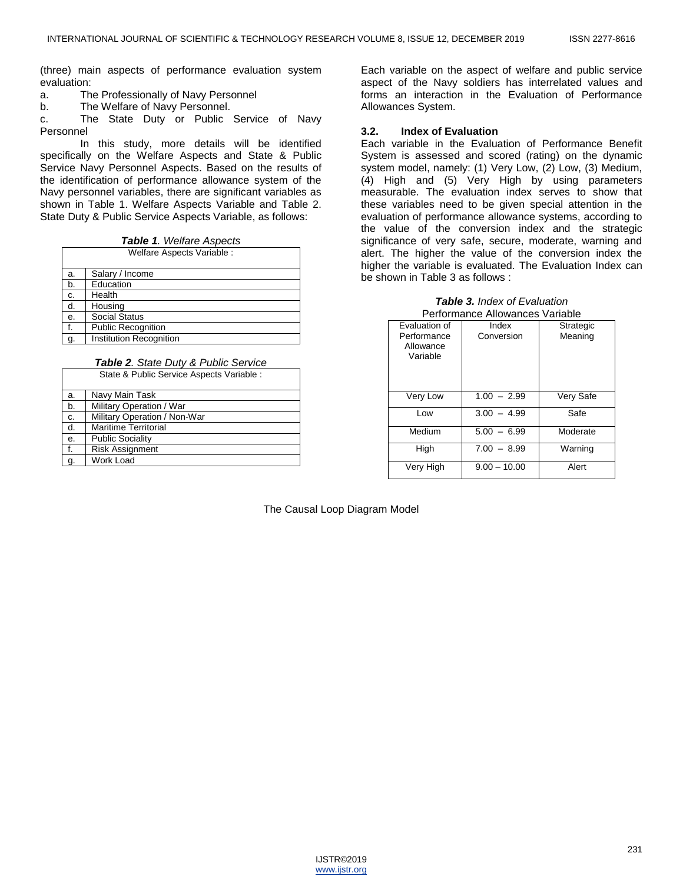(three) main aspects of performance evaluation system evaluation:

- a. The Professionally of Navy Personnel
- b. The Welfare of Navy Personnel.

c. The State Duty or Public Service of Navy Personnel

In this study, more details will be identified specifically on the Welfare Aspects and State & Public Service Navy Personnel Aspects. Based on the results of the identification of performance allowance system of the Navy personnel variables, there are significant variables as shown in Table 1. Welfare Aspects Variable and Table 2. State Duty & Public Service Aspects Variable, as follows:

*Table 1. Welfare Aspects*

| Welfare Aspects Variable : |                           |  |  |  |  |  |  |  |
|----------------------------|---------------------------|--|--|--|--|--|--|--|
| a.                         | Salary / Income           |  |  |  |  |  |  |  |
| b.                         | Education                 |  |  |  |  |  |  |  |
| c.                         | Health                    |  |  |  |  |  |  |  |
| d.                         | Housing                   |  |  |  |  |  |  |  |
| е.                         | <b>Social Status</b>      |  |  |  |  |  |  |  |
| f.                         | <b>Public Recognition</b> |  |  |  |  |  |  |  |
|                            | Institution Recognition   |  |  |  |  |  |  |  |

*Table 2. State Duty & Public Service*  State & Public Service Aspects Variable :

| <u>Jiale &amp; I upilu Jervice Aspects</u> variable. |                              |  |  |  |  |  |  |  |
|------------------------------------------------------|------------------------------|--|--|--|--|--|--|--|
| a.                                                   | Navy Main Task               |  |  |  |  |  |  |  |
| b.                                                   | Military Operation / War     |  |  |  |  |  |  |  |
| c.                                                   | Military Operation / Non-War |  |  |  |  |  |  |  |
| d.                                                   | <b>Maritime Territorial</b>  |  |  |  |  |  |  |  |
| e.                                                   | <b>Public Sociality</b>      |  |  |  |  |  |  |  |
| f.                                                   | <b>Risk Assignment</b>       |  |  |  |  |  |  |  |
| g.                                                   | Work Load                    |  |  |  |  |  |  |  |

Each variable on the aspect of welfare and public service aspect of the Navy soldiers has interrelated values and forms an interaction in the Evaluation of Performance Allowances System.

## **3.2. Index of Evaluation**

Each variable in the Evaluation of Performance Benefit System is assessed and scored (rating) on the dynamic system model, namely: (1) Very Low, (2) Low, (3) Medium, (4) High and (5) Very High by using parameters measurable. The evaluation index serves to show that these variables need to be given special attention in the evaluation of performance allowance systems, according to the value of the conversion index and the strategic significance of very safe, secure, moderate, warning and alert. The higher the value of the conversion index the higher the variable is evaluated. The Evaluation Index can be shown in Table 3 as follows :

|  | <b>Table 3.</b> Index of Evaluation |  |  |  |  |  |  |  |  |  |
|--|-------------------------------------|--|--|--|--|--|--|--|--|--|
|  |                                     |  |  |  |  |  |  |  |  |  |

| Performance Allowances Variable      |                |           |  |  |  |  |  |  |  |  |
|--------------------------------------|----------------|-----------|--|--|--|--|--|--|--|--|
| Evaluation of                        | Index          | Strategic |  |  |  |  |  |  |  |  |
| Performance<br>Allowance<br>Variable | Conversion     | Meaning   |  |  |  |  |  |  |  |  |
| Very Low                             | $1.00 - 2.99$  | Very Safe |  |  |  |  |  |  |  |  |
| Low                                  | $3.00 - 4.99$  | Safe      |  |  |  |  |  |  |  |  |
| Medium                               | $5.00 - 6.99$  | Moderate  |  |  |  |  |  |  |  |  |
| High                                 | $7.00 - 8.99$  | Warning   |  |  |  |  |  |  |  |  |
| Very High                            | $9.00 - 10.00$ | Alert     |  |  |  |  |  |  |  |  |

The Causal Loop Diagram Model

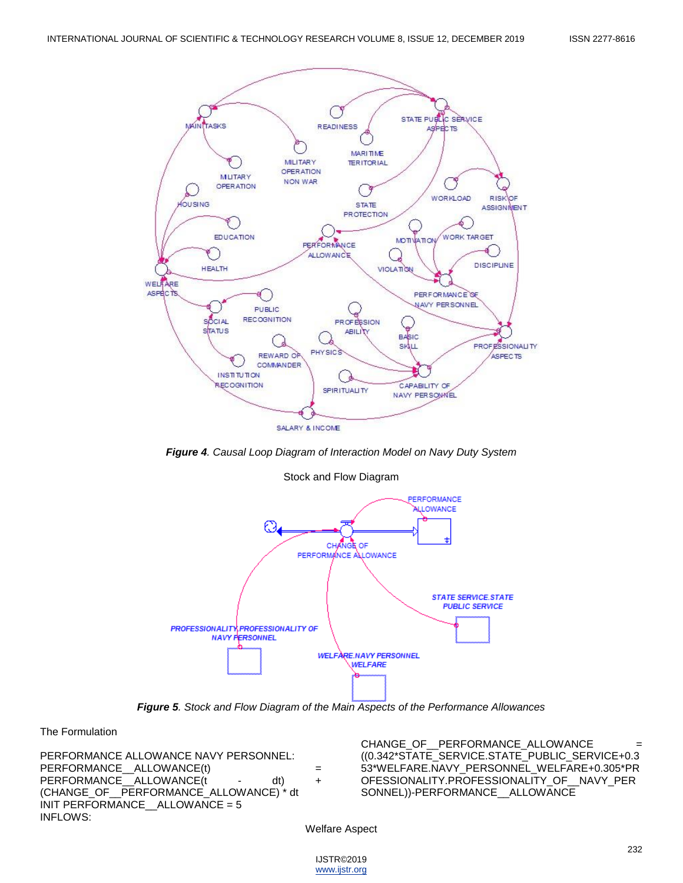

*Figure 4. Causal Loop Diagram of Interaction Model on Navy Duty System*

Stock and Flow Diagram



*Figure 5. Stock and Flow Diagram of the Main Aspects of the Performance Allowances*

The Formulation

PERFORMANCE ALLOWANCE NAVY PERSONNEL: PERFORMANCE ALLOWANCE(t) = = PERFORMANCE ALLOWANCE(t - dt) + (CHANGE\_OF\_\_PERFORMANCE\_ALLOWANCE) \* dt INIT PERFORMANCE\_\_ALLOWANCE = 5 INFLOWS:

CHANGE\_OF\_\_PERFORMANCE\_ALLOWANCE ((0.342\*STATE\_SERVICE.STATE\_PUBLIC\_SERVICE+0.3 53\*WELFARE.NAVY\_PERSONNEL\_WELFARE+0.305\*PR OFESSIONALITY.PROFESSIONALITY\_OF\_\_NAVY\_PER SONNEL))-PERFORMANCE\_ALLOWANCE

Welfare Aspect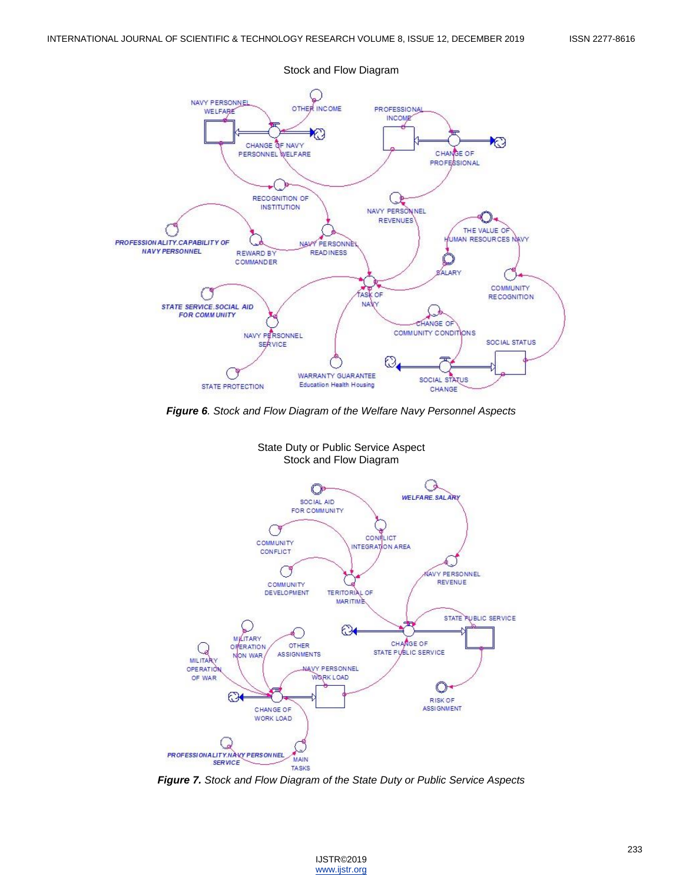

*Figure 6. Stock and Flow Diagram of the Welfare Navy Personnel Aspects* 



State Duty or Public Service Aspect Stock and Flow Diagram

*Figure 7. Stock and Flow Diagram of the State Duty or Public Service Aspects*

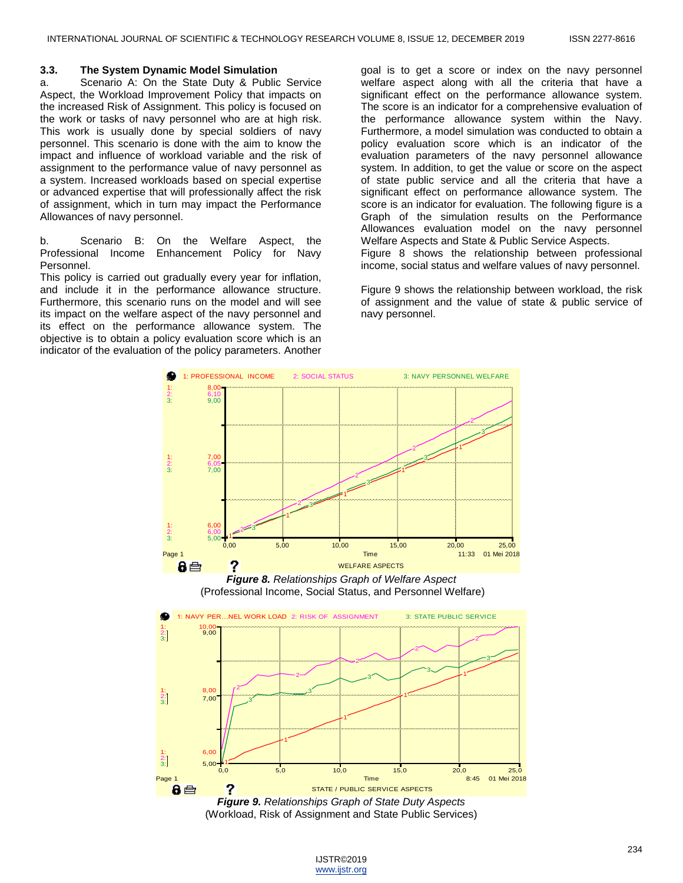### **3.3. The System Dynamic Model Simulation**

a. Scenario A: On the State Duty & Public Service Aspect, the Workload Improvement Policy that impacts on the increased Risk of Assignment. This policy is focused on the work or tasks of navy personnel who are at high risk. This work is usually done by special soldiers of navy personnel. This scenario is done with the aim to know the impact and influence of workload variable and the risk of assignment to the performance value of navy personnel as a system. Increased workloads based on special expertise or advanced expertise that will professionally affect the risk of assignment, which in turn may impact the Performance Allowances of navy personnel.

b. Scenario B: On the Welfare Aspect, the Professional Income Enhancement Policy for Navy Personnel.

This policy is carried out gradually every year for inflation, and include it in the performance allowance structure. Furthermore, this scenario runs on the model and will see its impact on the welfare aspect of the navy personnel and its effect on the performance allowance system. The objective is to obtain a policy evaluation score which is an indicator of the evaluation of the policy parameters. Another

goal is to get a score or index on the navy personnel welfare aspect along with all the criteria that have a significant effect on the performance allowance system. The score is an indicator for a comprehensive evaluation of the performance allowance system within the Navy. Furthermore, a model simulation was conducted to obtain a policy evaluation score which is an indicator of the evaluation parameters of the navy personnel allowance system. In addition, to get the value or score on the aspect of state public service and all the criteria that have a significant effect on performance allowance system. The score is an indicator for evaluation. The following figure is a Graph of the simulation results on the Performance Allowances evaluation model on the navy personnel Welfare Aspects and State & Public Service Aspects. Figure 8 shows the relationship between professional income, social status and welfare values of navy personnel.

Figure 9 shows the relationship between workload, the risk of assignment and the value of state & public service of navy personnel.



*Figure 8. Relationships Graph of Welfare Aspect* (Professional Income, Social Status, and Personnel Welfare)



(Workload, Risk of Assignment and State Public Services)

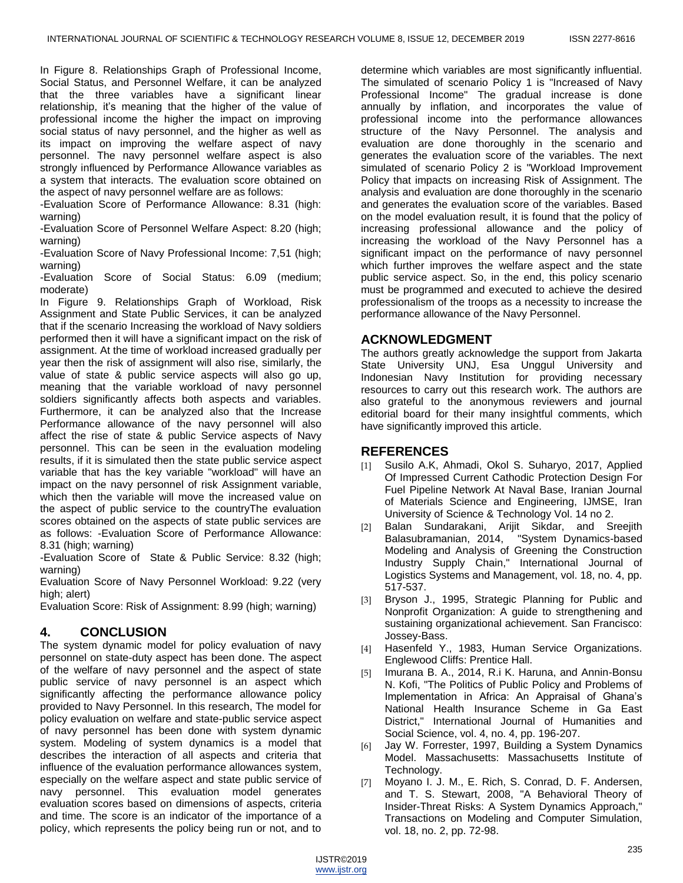In Figure 8. Relationships Graph of Professional Income, Social Status, and Personnel Welfare, it can be analyzed that the three variables have a significant linear relationship, it's meaning that the higher of the value of professional income the higher the impact on improving social status of navy personnel, and the higher as well as its impact on improving the welfare aspect of navy personnel. The navy personnel welfare aspect is also strongly influenced by Performance Allowance variables as a system that interacts. The evaluation score obtained on the aspect of navy personnel welfare are as follows:

-Evaluation Score of Performance Allowance: 8.31 (high: warning)

-Evaluation Score of Personnel Welfare Aspect: 8.20 (high; warning)

-Evaluation Score of Navy Professional Income: 7,51 (high; warning)

-Evaluation Score of Social Status: 6.09 (medium; moderate)

In Figure 9. Relationships Graph of Workload, Risk Assignment and State Public Services, it can be analyzed that if the scenario Increasing the workload of Navy soldiers performed then it will have a significant impact on the risk of assignment. At the time of workload increased gradually per year then the risk of assignment will also rise, similarly, the value of state & public service aspects will also go up, meaning that the variable workload of navy personnel soldiers significantly affects both aspects and variables. Furthermore, it can be analyzed also that the Increase Performance allowance of the navy personnel will also affect the rise of state & public Service aspects of Navy personnel. This can be seen in the evaluation modeling results, if it is simulated then the state public service aspect variable that has the key variable "workload" will have an impact on the navy personnel of risk Assignment variable, which then the variable will move the increased value on the aspect of public service to the countryThe evaluation scores obtained on the aspects of state public services are as follows: -Evaluation Score of Performance Allowance: 8.31 (high; warning)

-Evaluation Score of State & Public Service: 8.32 (high; warning)

Evaluation Score of Navy Personnel Workload: 9.22 (very high; alert)

Evaluation Score: Risk of Assignment: 8.99 (high; warning)

# **4. CONCLUSION**

The system dynamic model for policy evaluation of navy personnel on state-duty aspect has been done. The aspect of the welfare of navy personnel and the aspect of state public service of navy personnel is an aspect which significantly affecting the performance allowance policy provided to Navy Personnel. In this research, The model for policy evaluation on welfare and state-public service aspect of navy personnel has been done with system dynamic system. Modeling of system dynamics is a model that describes the interaction of all aspects and criteria that influence of the evaluation performance allowances system, especially on the welfare aspect and state public service of navy personnel. This evaluation model generates evaluation scores based on dimensions of aspects, criteria and time. The score is an indicator of the importance of a policy, which represents the policy being run or not, and to

determine which variables are most significantly influential. The simulated of scenario Policy 1 is "Increased of Navy Professional Income" The gradual increase is done annually by inflation, and incorporates the value of professional income into the performance allowances structure of the Navy Personnel. The analysis and evaluation are done thoroughly in the scenario and generates the evaluation score of the variables. The next simulated of scenario Policy 2 is "Workload Improvement Policy that impacts on increasing Risk of Assignment. The analysis and evaluation are done thoroughly in the scenario and generates the evaluation score of the variables. Based on the model evaluation result, it is found that the policy of increasing professional allowance and the policy of increasing the workload of the Navy Personnel has a significant impact on the performance of navy personnel which further improves the welfare aspect and the state public service aspect. So, in the end, this policy scenario must be programmed and executed to achieve the desired professionalism of the troops as a necessity to increase the performance allowance of the Navy Personnel.

# **ACKNOWLEDGMENT**

The authors greatly acknowledge the support from Jakarta State University UNJ, Esa Unggul University and Indonesian Navy Institution for providing necessary resources to carry out this research work. The authors are also grateful to the anonymous reviewers and journal editorial board for their many insightful comments, which have significantly improved this article.

# **REFERENCES**

- [1] Susilo A.K, Ahmadi, Okol S. Suharyo, 2017, Applied Of Impressed Current Cathodic Protection Design For Fuel Pipeline Network At Naval Base, Iranian Journal of Materials Science and Engineering, IJMSE, Iran University of Science & Technology Vol. 14 no 2.
- [2] Balan Sundarakani, Arijit Sikdar, and Sreejith Balasubramanian, 2014, "System Dynamics-based Modeling and Analysis of Greening the Construction Industry Supply Chain," International Journal of Logistics Systems and Management, vol. 18, no. 4, pp. 517-537.
- [3] Bryson J., 1995, Strategic Planning for Public and Nonprofit Organization: A guide to strengthening and sustaining organizational achievement. San Francisco: Jossey-Bass.
- [4] Hasenfeld Y., 1983, Human Service Organizations. Englewood Cliffs: Prentice Hall.
- [5] Imurana B. A., 2014, R.i K. Haruna, and Annin-Bonsu N. Kofi, "The Politics of Public Policy and Problems of Implementation in Africa: An Appraisal of Ghana's National Health Insurance Scheme in Ga East District," International Journal of Humanities and Social Science, vol. 4, no. 4, pp. 196-207.
- [6] Jay W. Forrester, 1997, Building a System Dynamics Model. Massachusetts: Massachusetts Institute of Technology.
- [7] Moyano I. J. M., E. Rich, S. Conrad, D. F. Andersen, and T. S. Stewart, 2008, "A Behavioral Theory of Insider-Threat Risks: A System Dynamics Approach," Transactions on Modeling and Computer Simulation, vol. 18, no. 2, pp. 72-98.